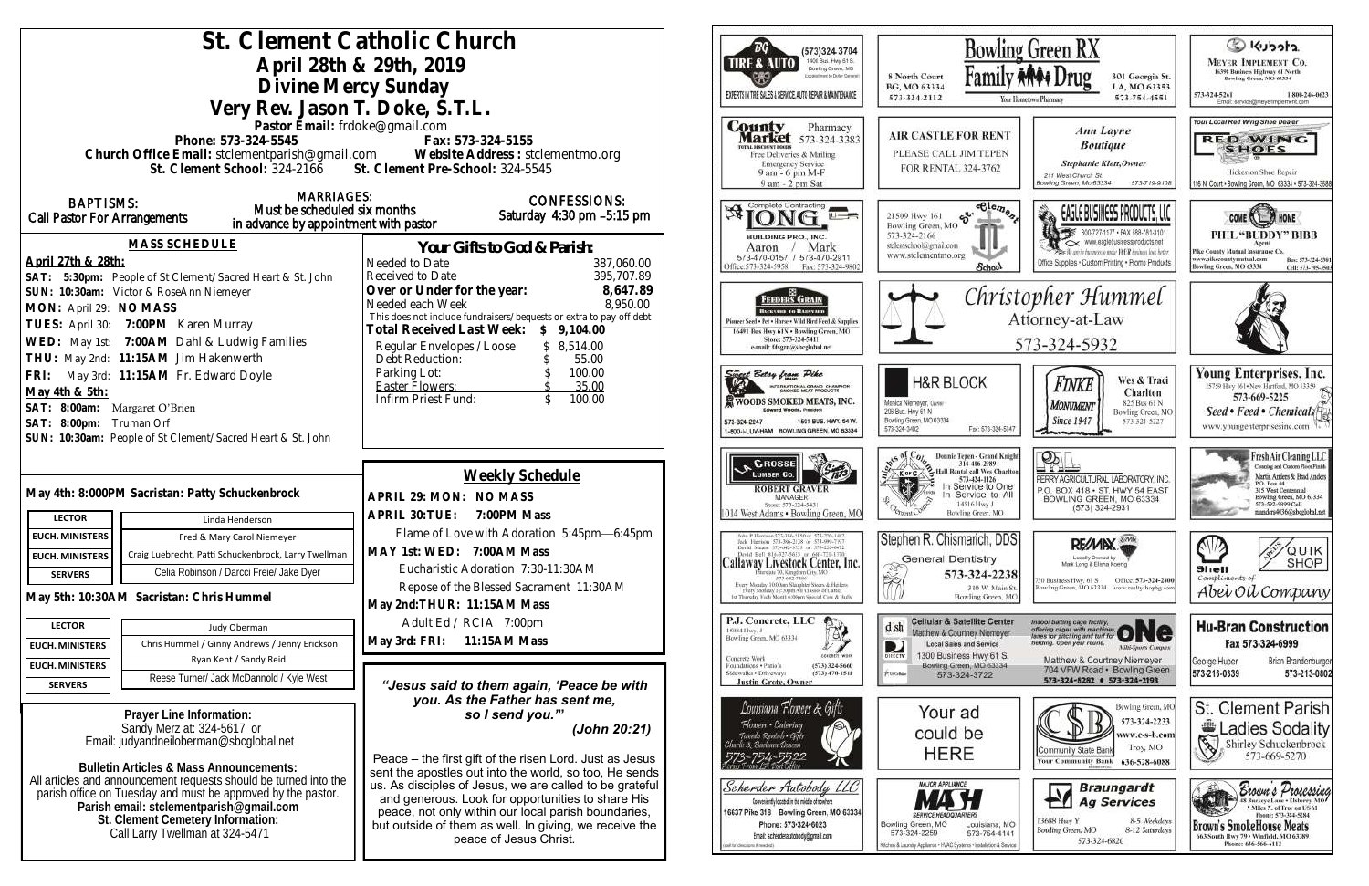| St. Clement Catholic Church<br>April 28th & 29th, 2019                                                                                                                                                                                              | $\overline{B}G$<br>(573)324 3704<br>1400 Busi. Hwy 61 S.<br><b>TIRE &amp; AUTO</b><br>Bowling Green, MO<br>Economist west to Dorber General                                                                                                                                                                       | Bowl<br>Fami<br>8 North Court                                                                                                                                                                                                                                                                                                                                             |                                                                                                                                                                |
|-----------------------------------------------------------------------------------------------------------------------------------------------------------------------------------------------------------------------------------------------------|-------------------------------------------------------------------------------------------------------------------------------------------------------------------------------------------------------------------------------------------------------------------------------------------------------------------|---------------------------------------------------------------------------------------------------------------------------------------------------------------------------------------------------------------------------------------------------------------------------------------------------------------------------------------------------------------------------|----------------------------------------------------------------------------------------------------------------------------------------------------------------|
| Divine Mercy Sunday                                                                                                                                                                                                                                 | EXPERTS IN THE SALES & SERVICE, AUTO REPAIR & MAINTENANCE                                                                                                                                                                                                                                                         | BG, MO 63334<br>573-324-2112                                                                                                                                                                                                                                                                                                                                              |                                                                                                                                                                |
| Very Rev. Jason T. Doke, S.T.L.<br>Pastor Email: frdoke@gmail.com<br>Phone: 573-324-5545<br>Church Office Email: stclementparish@gmail.com Website Address : stclementmo.org<br>St. Clement School: 324-2166 St. Clement Pre-School: 324-5545       | Fax: 573-324-5155                                                                                                                                                                                                                                                                                                 | <b>County</b><br>Pharmacy<br><b>Market</b> 573-324-3383<br><b>TOTAL DISCOUNT FOOD!</b><br>Free Deliveries & Mailing<br><b>Emergency Service</b><br>9 am - 6 pm M-F<br>9 am - 2 pm Sat                                                                                                                                                                                     | <b>AIR CASTLE FOR REN</b><br>PLEASE CALL JIM TEPE<br>FOR RENTAL 324-3762                                                                                       |
| <b>MARRIAGES:</b><br><b>BAPTISMS:</b><br>Must be scheduled six months<br><b>Call Pastor For Arrangements</b><br>in advance by appointment with pastor                                                                                               | <b>CONFESSIONS:</b><br>Saturday 4:30 pm -5:15 pm                                                                                                                                                                                                                                                                  | Complete Contracting<br>冴                                                                                                                                                                                                                                                                                                                                                 | $-$ elez<br>56.<br>21509 Hwy 161<br>Bowling Green, MO                                                                                                          |
| MASS SCHEDULE<br>April 27th & 28th:<br>SAT: 5:30pm: People of St Clement/Sacred Heart & St. John                                                                                                                                                    | Your Gifts to God & Parish:<br>Needed to Date<br>387,060.00<br>395,707.89<br>Received to Date                                                                                                                                                                                                                     | <b>BUILDING PRO., INC.</b><br>Mark<br>Aaron<br>573-470-0157 / 573-470-2911<br>Office: 573-324-5958<br>Fax: 573-324-9802                                                                                                                                                                                                                                                   | 573-324-2166<br>stelemschool@gmail.com<br>www.stelementmo.org<br><b>Schoo</b>                                                                                  |
| SUN: 10:30am: Victor & RoseAnn Niemeyer<br>MON: April 29: NO MASS<br>TUES: April 30: 7:00PM Karen Murray<br>WED: May 1st: 7:00AM Dahl & Ludwig Families<br>THU: May 2nd: 11:15AM Jim Hakenwerth                                                     | Over or Under for the year:<br>8,647.89<br>8,950.00<br>Needed each Week<br>This does not include fundraisers/bequests or extra to pay off debt<br>Total Received Last Week: \$ 9,104.00<br>\$8,514.00<br>Regular Envelopes / Loose<br>Debt Reduction:<br>55.00                                                    | <b>FEEDERS GRAIN</b><br><b>BACKYARD TO BASSYARD</b><br>Pinneer Seed . Pet . Horse . Wild Bird Feed & Supplies<br>16491 Bus Hwy 61N . Bowling Green, MO<br>Store: 573-324-5411<br>e-mail: fdsgrn@sheglobal.net                                                                                                                                                             | Chr                                                                                                                                                            |
| FRI: May 3rd: 11:15AM Fr. Edward Doyle<br>May 4th & 5th:<br>SAT: 8:00am: Margaret O'Brien<br>SAT: 8:00pm: Truman Orf<br>SUN: 10:30am: People of St Clement/Sacred Heart & St. John                                                                  | 100.00<br>Parking Lot:<br>35.00<br><b>Easter Flowers:</b><br>Infirm Priest Fund:<br>$\mathcal{L}$<br>100.00                                                                                                                                                                                                       | 1995 Betsy from Pike<br>INTERNATIONAL GRAND CHAMPION<br>WOODS SMOKED MEATS, INC.<br>Edward Woods, President<br>1501 BUS, HWY, 54 W.<br>573-324-2247<br>1-800-I-LUV-HAM BOWLING GREEN, MO 63334                                                                                                                                                                            | <b>H&amp;R BLOCK</b><br>Monica Niemeyer, Owner<br>206 Bus. Hwy 61 N<br>Bowling Green, MO 63334<br>Fax: 573-324<br>573-324-3402                                 |
| May 4th: 8:000PM Sacristan: Patty Schuckenbrock<br><b>LECTOR</b><br>Linda Henderson                                                                                                                                                                 | Weekly Schedule<br>APRIL 29: MON: NO MASS<br>APRIL 30: TUE: 7:00PM Mass                                                                                                                                                                                                                                           | <b>CROSSE</b><br><b>ROBERT GRAVER</b><br>MANAGER<br>Store: 573-324-5431<br>1014 West Adams · Bowling Green, MO                                                                                                                                                                                                                                                            | <b>Donnie Tepen - Grand<br/>314-486-2989</b><br>Hall Rental call Wes Cl<br>573-424-1126<br>In Service to C<br>In Service to<br>14516 Hwy J<br>Bowling Green, M |
| <b>EUCH. MINISTERS</b><br>Fred & Mary Carol Niemeyer<br>Craig Luebrecht, Patti Schuckenbrock, Larry Twellman<br><b>EUCH. MINISTERS</b><br>Celia Robinson / Darcci Freie/ Jake Dyer<br><b>SERVERS</b>                                                | Flame of Love with Adoration 5:45pm-6:45pm<br>MAY 1st: WED: 7:00AM Mass<br>Eucharistic Adoration 7:30-11:30AM<br>Repose of the Blessed Sacrament 11:30AM                                                                                                                                                          | John P. Hurrison 373-386-5150 or 573-220-1482<br>Jock Hurrison 573-386-2138 or 573-990-7197<br>David Means 373-642-9753 or 373-220-0472<br>David Bell 816-327-5633 or 660-721-1370<br>Callaway Livestock Center, Inc.<br>Interoute 70, Kingdom City, MO<br>573-642-7486<br>Every Monday 10:00am Slaughter Steers & Heilers<br>Every Monitey 12:30pm All Classes of Cattle | Stephen R. Chismarich, D<br><b>General Dentistry</b><br>573-324-2<br>棨<br>310 W. Ma                                                                            |
| May 5th: 10:30AM Sacristan: Chris Hummel<br><b>LECTOR</b><br>Judy Oberman                                                                                                                                                                           | May 2nd: THUR: 11:15AM Mass<br>Adult Ed / RCIA 7:00pm<br>11:15AM Mass                                                                                                                                                                                                                                             | st Thursday Each Month 6:00pm Spiecial Cow & Hulls<br>P.J. Concrete, LLC<br>15084 Hwy. J<br>.⊕'<br>Bowling Green, MO 63334                                                                                                                                                                                                                                                | <b>Bowling Greet</b><br><b>Cellular &amp; Satellite Cer</b><br>d sh<br>Matthew & Courtney Nieme                                                                |
| Chris Hummel / Ginny Andrews / Jenny Erickson<br><b>EUCH. MINISTERS</b><br>Ryan Kent / Sandy Reid<br><b>EUCH. MINISTERS</b><br>Reese Turner/ Jack McDannold / Kyle West<br><b>SERVERS</b>                                                           | May 3rd: FRI:<br>"Jesus said to them again, 'Peace be with                                                                                                                                                                                                                                                        | <b>CONDITION WORK</b><br>Concrete Work<br>Foundations . Patio's<br>(573) 324-5660<br>Sidewalks + Driveways<br>$(573)$ 470-1511<br><b>Justin Grote, Owner</b>                                                                                                                                                                                                              | <b>Local Sales and Service</b><br>D<br>1300 Business Hwy 61<br>DIRECTY<br>Bowling Green, MO 633<br>PUSOBar<br>573-324-3722                                     |
| Prayer Line Information:<br>Sandy Merz at: 324-5617 or<br>Email: judyandneiloberman@sbcglobal.net<br>Bulletin Articles & Mass Announcements:                                                                                                        | you. As the Father has sent me,<br>so I send you."<br>(John 20:21)<br>Peace – the first gift of the risen Lord. Just as Jesus                                                                                                                                                                                     | Louisiana Flowers & Gifts<br>Flowers • Catering<br>Tuccedo Rentals - Gifts<br>arlie & Barlawa Desetto                                                                                                                                                                                                                                                                     | Your ad<br>could be<br><b>HERE</b>                                                                                                                             |
| All articles and announcement requests should be turned into the<br>parish office on Tuesday and must be approved by the pastor.<br>Parish email: stclementparish@gmail.com<br>St. Clement Cemetery Information:<br>Call Larry Twellman at 324-5471 | sent the apostles out into the world, so too, He sends<br>us. As disciples of Jesus, we are called to be grateful<br>and generous. Look for opportunities to share His<br>peace, not only within our local parish boundaries,<br>but outside of them as well. In giving, we receive the<br>peace of Jesus Christ. | Scherder Autobody LLC<br>Conveniently located in the middle of nowhere<br>16637 Pike 318 Bowling Green, MO 63334<br>Phone: 573-324-6023<br>Email: scherderautobody@gmail.com<br>cal for descripts if readed)                                                                                                                                                              | <b>MAJOR APPLIANCE</b><br>Bowling Green, MO<br>Louisiana<br>573-324-2259<br>573-754-4<br>Olchen & Laundry Appliance - HVAC Systems - Installation &            |